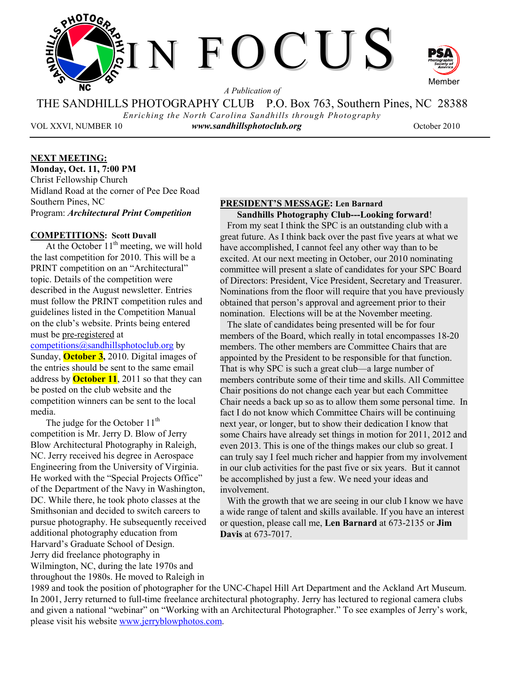

*A Publication of* 

THE SANDHILLS PHOTOGRAPHY CLUB P.O. Box 763, Southern Pines, NC 28388 *Enriching the North Carolina Sandhills through Photography* 

VOL XXVI, NUMBER 10 *www.sandhillsphotoclub.org* October 2010

## **NEXT MEETING:**

**Monday, Oct. 11, 7:00 PM**  Christ Fellowship Church Midland Road at the corner of Pee Dee Road Southern Pines, NC Program: *Architectural Print Competition* 

## **COMPETITIONS: Scott Duvall**

At the October  $11<sup>th</sup>$  meeting, we will hold the last competition for 2010. This will be a PRINT competition on an "Architectural" topic. Details of the competition were described in the August newsletter. Entries must follow the PRINT competition rules and guidelines listed in the Competition Manual on the club's website. Prints being entered must be pre-registered at competitions@sandhillsphotoclub.org by Sunday, **October 3,** 2010. Digital images of the entries should be sent to the same email address by **October 11**, 2011 so that they can be posted on the club website and the competition winners can be sent to the local media.

The judge for the October  $11<sup>th</sup>$ competition is Mr. Jerry D. Blow of Jerry Blow Architectural Photography in Raleigh, NC. Jerry received his degree in Aerospace Engineering from the University of Virginia. He worked with the "Special Projects Office" of the Department of the Navy in Washington, DC. While there, he took photo classes at the Smithsonian and decided to switch careers to pursue photography. He subsequently received additional photography education from Harvard's Graduate School of Design. Jerry did freelance photography in Wilmington, NC, during the late 1970s and throughout the 1980s. He moved to Raleigh in

#### **PRESIDENT'S MESSAGE: Len Barnard Sandhills Photography Club---Looking forward**!

 From my seat I think the SPC is an outstanding club with a great future. As I think back over the past five years at what we have accomplished, I cannot feel any other way than to be excited. At our next meeting in October, our 2010 nominating committee will present a slate of candidates for your SPC Board of Directors: President, Vice President, Secretary and Treasurer. Nominations from the floor will require that you have previously obtained that person's approval and agreement prior to their nomination. Elections will be at the November meeting.

 The slate of candidates being presented will be for four members of the Board, which really in total encompasses 18-20 members. The other members are Committee Chairs that are appointed by the President to be responsible for that function. That is why SPC is such a great club—a large number of members contribute some of their time and skills. All Committee Chair positions do not change each year but each Committee Chair needs a back up so as to allow them some personal time. In fact I do not know which Committee Chairs will be continuing next year, or longer, but to show their dedication I know that some Chairs have already set things in motion for 2011, 2012 and even 2013. This is one of the things makes our club so great. I can truly say I feel much richer and happier from my involvement in our club activities for the past five or six years. But it cannot be accomplished by just a few. We need your ideas and involvement.

With the growth that we are seeing in our club I know we have a wide range of talent and skills available. If you have an interest or question, please call me, **Len Barnard** at 673-2135 or **Jim Davis** at 673-7017.

1989 and took the position of photographer for the UNC-Chapel Hill Art Department and the Ackland Art Museum. In 2001, Jerry returned to full-time freelance architectural photography. Jerry has lectured to regional camera clubs and given a national "webinar" on "Working with an Architectural Photographer." To see examples of Jerry's work, please visit his website www.jerryblowphotos.com.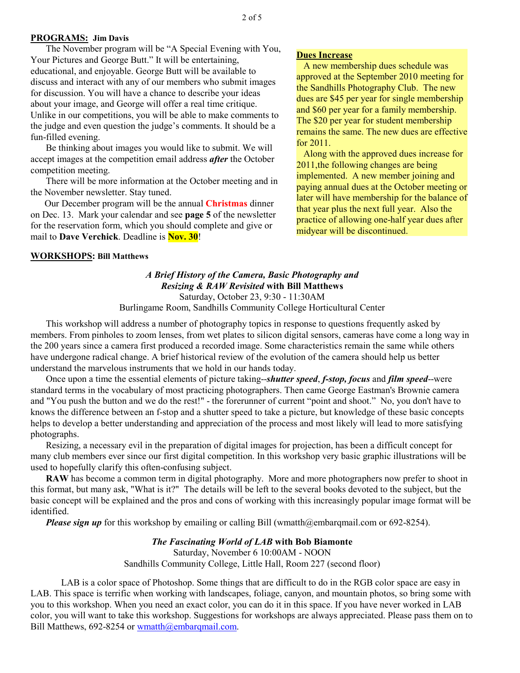#### **PROGRAMS: Jim Davis**

The November program will be "A Special Evening with You, Your Pictures and George Butt." It will be entertaining, educational, and enjoyable. George Butt will be available to discuss and interact with any of our members who submit images for discussion. You will have a chance to describe your ideas about your image, and George will offer a real time critique. Unlike in our competitions, you will be able to make comments to the judge and even question the judge's comments. It should be a fun-filled evening.

Be thinking about images you would like to submit. We will accept images at the competition email address *after* the October competition meeting.

There will be more information at the October meeting and in the November newsletter. Stay tuned.

 Our December program will be the annual **Christmas** dinner on Dec. 13. Mark your calendar and see **page 5** of the newsletter for the reservation form, which you should complete and give or mail to **Dave Verchick**. Deadline is **Nov. 30**!

#### **WORKSHOPS: Bill Matthews**

#### **Dues Increase**

 A new membership dues schedule was approved at the September 2010 meeting for the Sandhills Photography Club. The new dues are \$45 per year for single membership and \$60 per year for a family membership. The \$20 per year for student membership remains the same. The new dues are effective for 2011.

 Along with the approved dues increase for 2011,the following changes are being implemented. A new member joining and paying annual dues at the October meeting or later will have membership for the balance of that year plus the next full year. Also the practice of allowing one-half year dues after midyear will be discontinued.

## *A Brief History of the Camera, Basic Photography and Resizing & RAW Revisited* **with Bill Matthews**  Saturday, October 23, 9:30 - 11:30AM

Burlingame Room, Sandhills Community College Horticultural Center

This workshop will address a number of photography topics in response to questions frequently asked by members. From pinholes to zoom lenses, from wet plates to silicon digital sensors, cameras have come a long way in the 200 years since a camera first produced a recorded image. Some characteristics remain the same while others have undergone radical change. A brief historical review of the evolution of the camera should help us better understand the marvelous instruments that we hold in our hands today.

Once upon a time the essential elements of picture taking--*shutter speed*, *f-stop, focus* and *film speed*--were standard terms in the vocabulary of most practicing photographers. Then came George Eastman's Brownie camera and "You push the button and we do the rest!" - the forerunner of current "point and shoot." No, you don't have to knows the difference between an f-stop and a shutter speed to take a picture, but knowledge of these basic concepts helps to develop a better understanding and appreciation of the process and most likely will lead to more satisfying photographs.

Resizing, a necessary evil in the preparation of digital images for projection, has been a difficult concept for many club members ever since our first digital competition. In this workshop very basic graphic illustrations will be used to hopefully clarify this often-confusing subject.

**RAW** has become a common term in digital photography. More and more photographers now prefer to shoot in this format, but many ask, "What is it?" The details will be left to the several books devoted to the subject, but the basic concept will be explained and the pros and cons of working with this increasingly popular image format will be identified.

*Please sign up* for this workshop by emailing or calling Bill (wmatth@embarqmail.com or 692-8254).

#### *The Fascinating World of LAB* **with Bob Biamonte**

Saturday, November 6 10:00AM - NOON Sandhills Community College, Little Hall, Room 227 (second floor)

LAB is a color space of Photoshop. Some things that are difficult to do in the RGB color space are easy in LAB. This space is terrific when working with landscapes, foliage, canyon, and mountain photos, so bring some with you to this workshop. When you need an exact color, you can do it in this space. If you have never worked in LAB color, you will want to take this workshop. Suggestions for workshops are always appreciated. Please pass them on to Bill Matthews, 692-8254 or wmatth@embarqmail.com.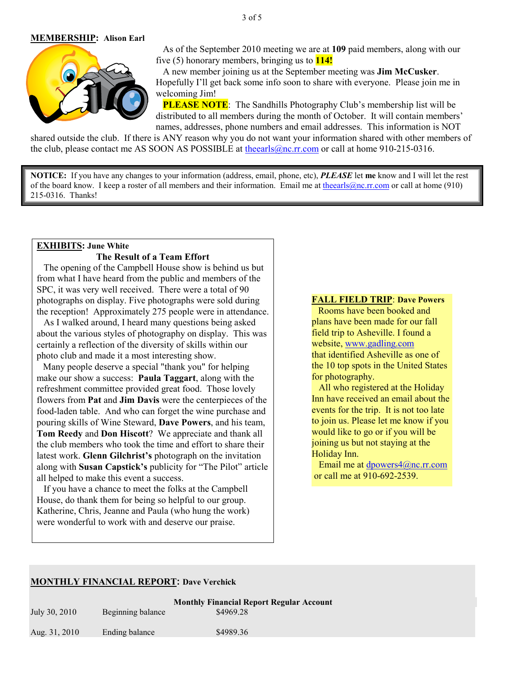#### 3 of 5

#### **MEMBERSHIP: Alison Earl**



 As of the September 2010 meeting we are at **109** paid members, along with our five (5) honorary members, bringing us to **114!** 

 A new member joining us at the September meeting was **Jim McCusker**. Hopefully I'll get back some info soon to share with everyone. Please join me in welcoming Jim!

**PLEASE NOTE**: The Sandhills Photography Club's membership list will be distributed to all members during the month of October. It will contain members' names, addresses, phone numbers and email addresses. This information is NOT

shared outside the club. If there is ANY reason why you do not want your information shared with other members of the club, please contact me AS SOON AS POSSIBLE at theearls@nc.rr.com or call at home 910-215-0316.

**NOTICE:** If you have any changes to your information (address, email, phone, etc), *PLEASE* let **me** know and I will let the rest of the board know. I keep a roster of all members and their information. Email me at the earls @nc.rr.com or call at home (910) 215-0316. Thanks!

## **EXHIBITS: June White The Result of a Team Effort**

The opening of the Campbell House show is behind us but from what I have heard from the public and members of the SPC, it was very well received. There were a total of 90 photographs on display. Five photographs were sold during the reception! Approximately 275 people were in attendance.

 As I walked around, I heard many questions being asked about the various styles of photography on display. This was certainly a reflection of the diversity of skills within our photo club and made it a most interesting show.

 Many people deserve a special "thank you" for helping make our show a success: **Paula Taggart**, along with the refreshment committee provided great food. Those lovely flowers from **Pat** and **Jim Davis** were the centerpieces of the food-laden table. And who can forget the wine purchase and pouring skills of Wine Steward, **Dave Powers**, and his team, **Tom Reedy** and **Don Hiscott**? We appreciate and thank all the club members who took the time and effort to share their latest work. **Glenn Gilchrist's** photograph on the invitation along with **Susan Capstick's** publicity for "The Pilot" article all helped to make this event a success.

 If you have a chance to meet the folks at the Campbell House, do thank them for being so helpful to our group. Katherine, Chris, Jeanne and Paula (who hung the work) were wonderful to work with and deserve our praise.

#### **FALL FIELD TRIP**: **Dave Powers**

Rooms have been booked and plans have been made for our fall field trip to Asheville. I found a website, www.gadling.com that identified Asheville as one of the 10 top spots in the United States for photography.

 All who registered at the Holiday Inn have received an email about the events for the trip. It is not too late to join us. Please let me know if you would like to go or if you will be joining us but not staying at the Holiday Inn.

 Email me at dpowers4@nc.rr.com or call me at 910-692-2539.

#### **MONTHLY FINANCIAL REPORT: Dave Verchick**

| July 30, 2010 | Beginning balance | <b>Monthly Financial Report Regular Account</b><br>\$4969.28 |
|---------------|-------------------|--------------------------------------------------------------|
| Aug. 31, 2010 | Ending balance    | \$4989.36                                                    |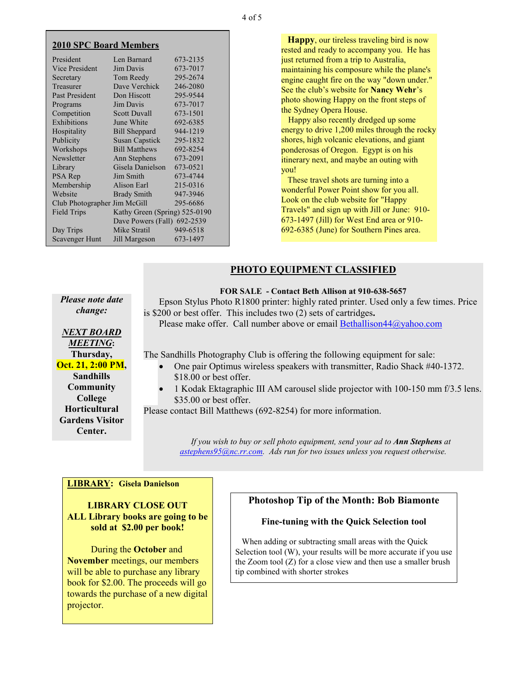| <b>2010 SPC Board Members</b> |  |
|-------------------------------|--|
|-------------------------------|--|

| President                    | Len Barnard                   | 673-2135 |
|------------------------------|-------------------------------|----------|
| <b>Vice President</b>        | Jim Davis                     | 673-7017 |
| Secretary                    | Tom Reedy                     | 295-2674 |
| Treasurer                    | Dave Verchick                 | 246-2080 |
| <b>Past President</b>        | Don Hiscott                   | 295-9544 |
| Programs                     | Jim Davis                     | 673-7017 |
| Competition                  | <b>Scott Duvall</b>           | 673-1501 |
| Exhibitions                  | June White                    | 692-6385 |
| Hospitality                  | <b>Bill Sheppard</b>          | 944-1219 |
| Publicity                    | <b>Susan Capstick</b>         | 295-1832 |
| Workshops                    | <b>Bill Matthews</b>          | 692-8254 |
| Newsletter                   | Ann Stephens                  | 673-2091 |
| Library                      | Gisela Danielson              | 673-0521 |
| PSA Rep                      | Jim Smith                     | 673-4744 |
| Membership                   | Alison Earl                   | 215-0316 |
| Website                      | <b>Brady Smith</b>            | 947-3946 |
| Club Photographer Jim McGill |                               | 295-6686 |
| <b>Field Trips</b>           | Kathy Green (Spring) 525-0190 |          |
| Dave Powers (Fall) 692-2539  |                               |          |
| Day Trips                    | Mike Stratil                  | 949-6518 |
| <b>Scavenger Hunt</b>        | Jill Margeson                 | 673-1497 |
|                              |                               |          |

 **Happy**, our tireless traveling bird is now rested and ready to accompany you. He has just returned from a trip to Australia, maintaining his composure while the plane's engine caught fire on the way "down under." See the club's website for **Nancy Wehr**'s photo showing Happy on the front steps of the Sydney Opera House.

 Happy also recently dredged up some energy to drive 1,200 miles through the rocky shores, high volcanic elevations, and giant ponderosas of Oregon. Egypt is on his itinerary next, and maybe an outing with you!

 These travel shots are turning into a wonderful Power Point show for you all. Look on the club website for "Happy Travels" and sign up with Jill or June: 910- 673-1497 (Jill) for West End area or 910- 692-6385 (June) for Southern Pines area.

## **PHOTO EQUIPMENT CLASSIFIED**

**FOR SALE - Contact Beth Allison at 910-638-5657** 

*Please note date change:* 

Epson Stylus Photo R1800 printer: highly rated printer. Used only a few times. Price is \$200 or best offer. This includes two (2) sets of cartridges**.** 

Please make offer. Call number above or email Bethallison44@yahoo.com

The Sandhills Photography Club is offering the following equipment for sale:

- One pair Optimus wireless speakers with transmitter, Radio Shack #40-1372. \$18.00 or best offer.
- 1 Kodak Ektagraphic III AM carousel slide projector with 100-150 mm f/3.5 lens. \$35.00 or best offer.

Please contact Bill Matthews (692-8254) for more information.

*If you wish to buy or sell photo equipment, send your ad to Ann Stephens at astephens95@nc.rr.com. Ads run for two issues unless you request otherwise.* 

## **LIBRARY: Gisela Danielson**

**LIBRARY CLOSE OUT ALL Library books are going to be sold at \$2.00 per book!** 

 During the **October** and **November** meetings, our members will be able to purchase any library book for \$2.00. The proceeds will go towards the purchase of a new digital projector.

## **Photoshop Tip of the Month: Bob Biamonte**

#### **Fine-tuning with the Quick Selection tool**

 When adding or subtracting small areas with the Quick Selection tool (W), your results will be more accurate if you use the Zoom tool (Z) for a close view and then use a smaller brush tip combined with shorter strokes

*NEXT BOARD MEETING***: Thursday, Oct. 21, 2:00 PM, Sandhills Community College Horticultural Gardens Visitor** 

**Center.**